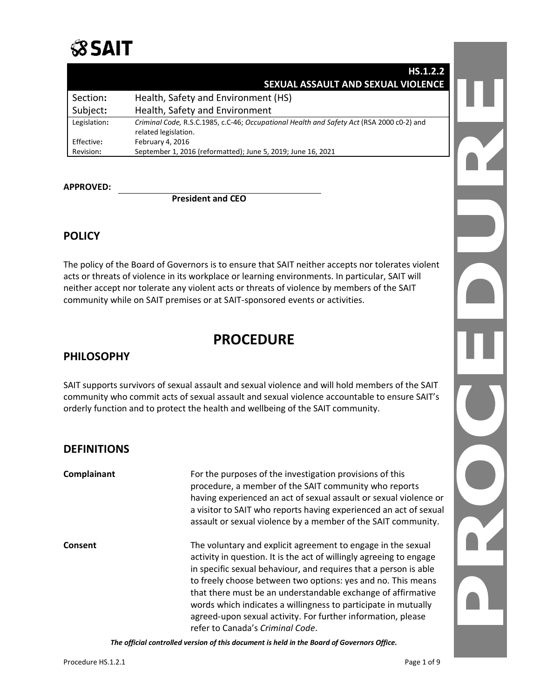# $\beta$ sait

|              | HS.1.2.2                                                                                                          |  |
|--------------|-------------------------------------------------------------------------------------------------------------------|--|
|              | SEXUAL ASSAULT AND SEXUAL VIOLENCE                                                                                |  |
| Section:     | Health, Safety and Environment (HS)                                                                               |  |
| Subject:     | Health, Safety and Environment                                                                                    |  |
| Legislation: | Criminal Code, R.S.C.1985, c.C-46; Occupational Health and Safety Act (RSA 2000 c0-2) and<br>related legislation. |  |
| Effective:   | February 4, 2016                                                                                                  |  |
| Revision:    | September 1, 2016 (reformatted); June 5, 2019; June 16, 2021                                                      |  |

### **APPROVED:**

### **President and CEO**

## **POLICY**

The policy of the Board of Governors is to ensure that SAIT neither accepts nor tolerates violent acts or threats of violence in its workplace or learning environments. In particular, SAIT will neither accept nor tolerate any violent acts or threats of violence by members of the SAIT community while on SAIT premises or at SAIT-sponsored events or activities.

# **PROCEDURE**

### **PHILOSOPHY**

SAIT supports survivors of sexual assault and sexual violence and will hold members of the SAIT community who commit acts of sexual assault and sexual violence accountable to ensure SAIT's orderly function and to protect the health and wellbeing of the SAIT community.

### **DEFINITIONS**

**Complainant** For the purposes of the investigation provisions of this procedure, a member of the SAIT community who reports having experienced an act of sexual assault or sexual violence or a visitor to SAIT who reports having experienced an act of sexual assault or sexual violence by a member of the SAIT community. **Consent** The voluntary and explicit agreement to engage in the sexual activity in question. It is the act of willingly agreeing to engage in specific sexual behaviour, and requires that a person is able to freely choose between two options: yes and no. This means that there must be an understandable exchange of affirmative words which indicates a willingness to participate in mutually agreed-upon sexual activity. For further information, please refer to Canada's *Criminal Code*.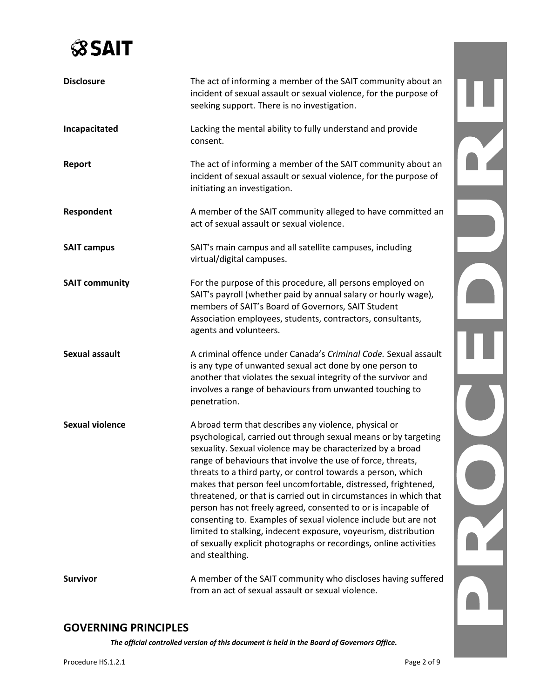

| <b>Disclosure</b>      | The act of informing a member of the SAIT community about an<br>incident of sexual assault or sexual violence, for the purpose of<br>seeking support. There is no investigation.                                                                                                                                                                                                                                                                                                                                                                                                                                                                                                                                                                          |  |
|------------------------|-----------------------------------------------------------------------------------------------------------------------------------------------------------------------------------------------------------------------------------------------------------------------------------------------------------------------------------------------------------------------------------------------------------------------------------------------------------------------------------------------------------------------------------------------------------------------------------------------------------------------------------------------------------------------------------------------------------------------------------------------------------|--|
| Incapacitated          | Lacking the mental ability to fully understand and provide<br>consent.                                                                                                                                                                                                                                                                                                                                                                                                                                                                                                                                                                                                                                                                                    |  |
| Report                 | The act of informing a member of the SAIT community about an<br>incident of sexual assault or sexual violence, for the purpose of<br>initiating an investigation.                                                                                                                                                                                                                                                                                                                                                                                                                                                                                                                                                                                         |  |
| Respondent             | A member of the SAIT community alleged to have committed an<br>act of sexual assault or sexual violence.                                                                                                                                                                                                                                                                                                                                                                                                                                                                                                                                                                                                                                                  |  |
| <b>SAIT campus</b>     | SAIT's main campus and all satellite campuses, including<br>virtual/digital campuses.                                                                                                                                                                                                                                                                                                                                                                                                                                                                                                                                                                                                                                                                     |  |
| <b>SAIT community</b>  | For the purpose of this procedure, all persons employed on<br>SAIT's payroll (whether paid by annual salary or hourly wage),<br>members of SAIT's Board of Governors, SAIT Student<br>Association employees, students, contractors, consultants,<br>agents and volunteers.                                                                                                                                                                                                                                                                                                                                                                                                                                                                                |  |
| <b>Sexual assault</b>  | A criminal offence under Canada's Criminal Code. Sexual assault<br>is any type of unwanted sexual act done by one person to<br>another that violates the sexual integrity of the survivor and<br>involves a range of behaviours from unwanted touching to<br>penetration.                                                                                                                                                                                                                                                                                                                                                                                                                                                                                 |  |
| <b>Sexual violence</b> | A broad term that describes any violence, physical or<br>psychological, carried out through sexual means or by targeting<br>sexuality. Sexual violence may be characterized by a broad<br>range of behaviours that involve the use of force, threats,<br>threats to a third party, or control towards a person, which<br>makes that person feel uncomfortable, distressed, frightened,<br>threatened, or that is carried out in circumstances in which that<br>person has not freely agreed, consented to or is incapable of<br>consenting to. Examples of sexual violence include but are not<br>limited to stalking, indecent exposure, voyeurism, distribution<br>of sexually explicit photographs or recordings, online activities<br>and stealthing. |  |
| <b>Survivor</b>        | A member of the SAIT community who discloses having suffered<br>from an act of sexual assault or sexual violence.                                                                                                                                                                                                                                                                                                                                                                                                                                                                                                                                                                                                                                         |  |

# **GOVERNING PRINCIPLES**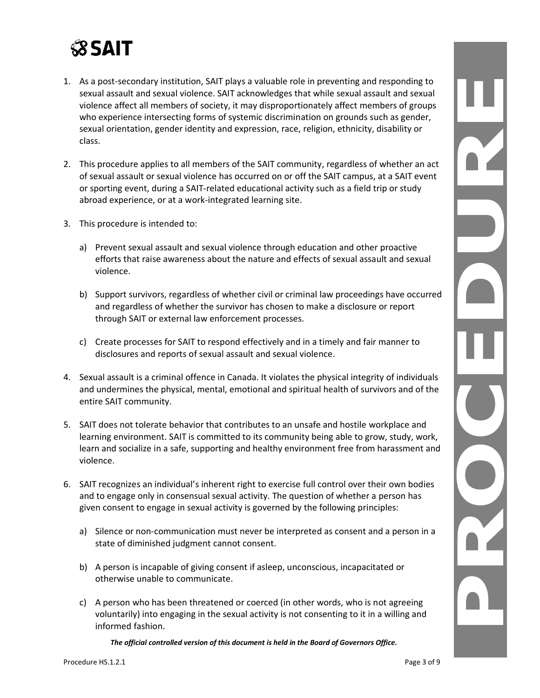# **SSAIT**

- 1. As a post-secondary institution, SAIT plays a valuable role in preventing and responding to sexual assault and sexual violence. SAIT acknowledges that while sexual assault and sexual violence affect all members of society, it may disproportionately affect members of groups who experience intersecting forms of systemic discrimination on grounds such as gender, sexual orientation, gender identity and expression, race, religion, ethnicity, disability or class.
- 2. This procedure applies to all members of the SAIT community, regardless of whether an act of sexual assault or sexual violence has occurred on or off the SAIT campus, at a SAIT event or sporting event, during a SAIT-related educational activity such as a field trip or study abroad experience, or at a work-integrated learning site.
- 3. This procedure is intended to:
	- a) Prevent sexual assault and sexual violence through education and other proactive efforts that raise awareness about the nature and effects of sexual assault and sexual violence.
	- b) Support survivors, regardless of whether civil or criminal law proceedings have occurred and regardless of whether the survivor has chosen to make a disclosure or report through SAIT or external law enforcement processes.
	- c) Create processes for SAIT to respond effectively and in a timely and fair manner to disclosures and reports of sexual assault and sexual violence.
- 4. Sexual assault is a criminal offence in Canada. It violates the physical integrity of individuals and undermines the physical, mental, emotional and spiritual health of survivors and of the entire SAIT community.
- 5. SAIT does not tolerate behavior that contributes to an unsafe and hostile workplace and learning environment. SAIT is committed to its community being able to grow, study, work, learn and socialize in a safe, supporting and healthy environment free from harassment and violence.
- 6. SAIT recognizes an individual's inherent right to exercise full control over their own bodies and to engage only in consensual sexual activity. The question of whether a person has given consent to engage in sexual activity is governed by the following principles:
	- a) Silence or non-communication must never be interpreted as consent and a person in a state of diminished judgment cannot consent.
	- b) A person is incapable of giving consent if asleep, unconscious, incapacitated or otherwise unable to communicate.
	- c) A person who has been threatened or coerced (in other words, who is not agreeing voluntarily) into engaging in the sexual activity is not consenting to it in a willing and informed fashion.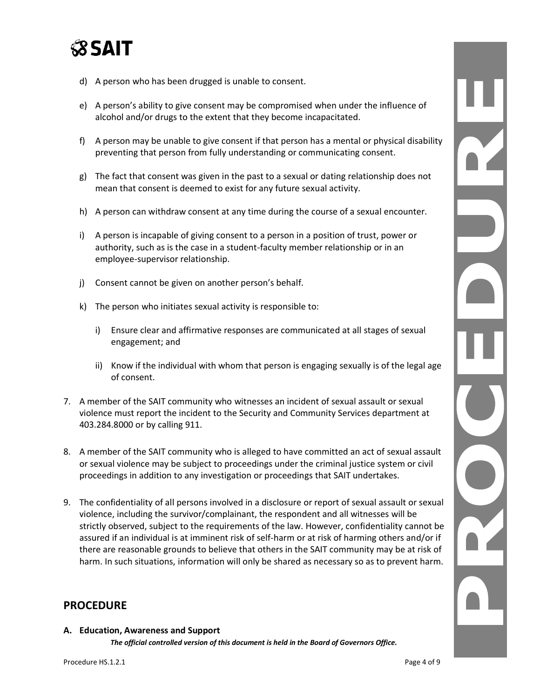# **SSAIT**

- d) A person who has been drugged is unable to consent.
- e) A person's ability to give consent may be compromised when under the influence of alcohol and/or drugs to the extent that they become incapacitated.
- f) A person may be unable to give consent if that person has a mental or physical disability preventing that person from fully understanding or communicating consent.
- g) The fact that consent was given in the past to a sexual or dating relationship does not mean that consent is deemed to exist for any future sexual activity.
- h) A person can withdraw consent at any time during the course of a sexual encounter.
- i) A person is incapable of giving consent to a person in a position of trust, power or authority, such as is the case in a student-faculty member relationship or in an employee-supervisor relationship.
- j) Consent cannot be given on another person's behalf.
- k) The person who initiates sexual activity is responsible to:
	- i) Ensure clear and affirmative responses are communicated at all stages of sexual engagement; and
	- ii) Know if the individual with whom that person is engaging sexually is of the legal age of consent.
- 7. A member of the SAIT community who witnesses an incident of sexual assault or sexual violence must report the incident to the Security and Community Services department at 403.284.8000 or by calling 911.
- 8. A member of the SAIT community who is alleged to have committed an act of sexual assault or sexual violence may be subject to proceedings under the criminal justice system or civil proceedings in addition to any investigation or proceedings that SAIT undertakes.
- 9. The confidentiality of all persons involved in a disclosure or report of sexual assault or sexual violence, including the survivor/complainant, the respondent and all witnesses will be strictly observed, subject to the requirements of the law. However, confidentiality cannot be assured if an individual is at imminent risk of self-harm or at risk of harming others and/or if there are reasonable grounds to believe that others in the SAIT community may be at risk of harm. In such situations, information will only be shared as necessary so as to prevent harm.

### **PROCEDURE**

### *The official controlled version of this document is held in the Board of Governors Office.* **A. Education, Awareness and Support**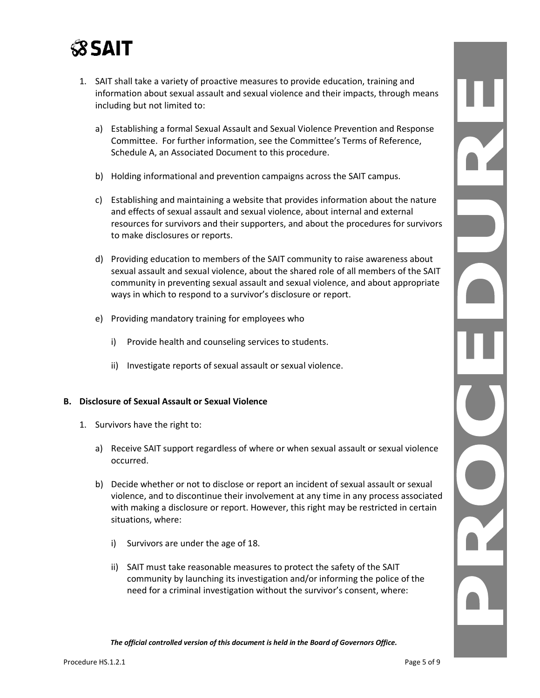

- 1. SAIT shall take a variety of proactive measures to provide education, training and information about sexual assault and sexual violence and their impacts, through means including but not limited to:
	- a) Establishing a formal Sexual Assault and Sexual Violence Prevention and Response Committee. For further information, see the Committee's Terms of Reference, Schedule A, an Associated Document to this procedure.
	- b) Holding informational and prevention campaigns across the SAIT campus.
	- c) Establishing and maintaining a website that provides information about the nature and effects of sexual assault and sexual violence, about internal and external resources for survivors and their supporters, and about the procedures for survivors to make disclosures or reports.
	- d) Providing education to members of the SAIT community to raise awareness about sexual assault and sexual violence, about the shared role of all members of the SAIT community in preventing sexual assault and sexual violence, and about appropriate ways in which to respond to a survivor's disclosure or report.
	- e) Providing mandatory training for employees who
		- i) Provide health and counseling services to students.
		- ii) Investigate reports of sexual assault or sexual violence.

#### **B. Disclosure of Sexual Assault or Sexual Violence**

- 1. Survivors have the right to:
	- a) Receive SAIT support regardless of where or when sexual assault or sexual violence occurred.
	- b) Decide whether or not to disclose or report an incident of sexual assault or sexual violence, and to discontinue their involvement at any time in any process associated with making a disclosure or report. However, this right may be restricted in certain situations, where:
		- i) Survivors are under the age of 18.
		- ii) SAIT must take reasonable measures to protect the safety of the SAIT community by launching its investigation and/or informing the police of the need for a criminal investigation without the survivor's consent, where: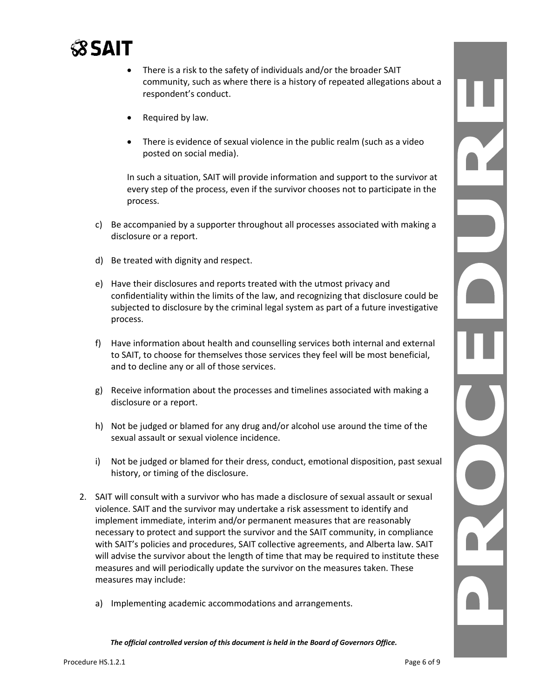

- There is a risk to the safety of individuals and/or the broader SAIT community, such as where there is a history of repeated allegations about a respondent's conduct.
- Required by law.
- There is evidence of sexual violence in the public realm (such as a video posted on social media).

In such a situation, SAIT will provide information and support to the survivor at every step of the process, even if the survivor chooses not to participate in the process.

- c) Be accompanied by a supporter throughout all processes associated with making a disclosure or a report.
- d) Be treated with dignity and respect.
- e) Have their disclosures and reports treated with the utmost privacy and confidentiality within the limits of the law, and recognizing that disclosure could be subjected to disclosure by the criminal legal system as part of a future investigative process.
- f) Have information about health and counselling services both internal and external to SAIT, to choose for themselves those services they feel will be most beneficial, and to decline any or all of those services.
- g) Receive information about the processes and timelines associated with making a disclosure or a report.
- h) Not be judged or blamed for any drug and/or alcohol use around the time of the sexual assault or sexual violence incidence.
- i) Not be judged or blamed for their dress, conduct, emotional disposition, past sexual history, or timing of the disclosure.
- 2. SAIT will consult with a survivor who has made a disclosure of sexual assault or sexual violence. SAIT and the survivor may undertake a risk assessment to identify and implement immediate, interim and/or permanent measures that are reasonably necessary to protect and support the survivor and the SAIT community, in compliance with SAIT's policies and procedures, SAIT collective agreements, and Alberta law. SAIT will advise the survivor about the length of time that may be required to institute these measures and will periodically update the survivor on the measures taken. These measures may include:
	- a) Implementing academic accommodations and arrangements.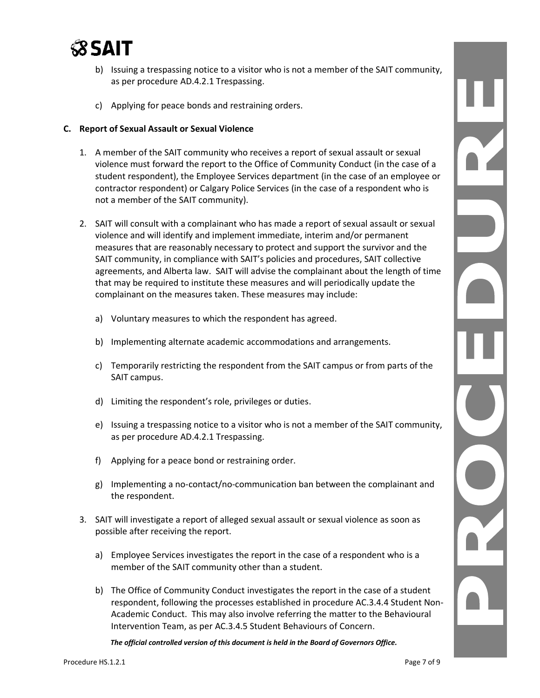

- b) Issuing a trespassing notice to a visitor who is not a member of the SAIT community, as per procedure AD.4.2.1 Trespassing.
- c) Applying for peace bonds and restraining orders.

#### **C. Report of Sexual Assault or Sexual Violence**

- 1. A member of the SAIT community who receives a report of sexual assault or sexual violence must forward the report to the Office of Community Conduct (in the case of a student respondent), the Employee Services department (in the case of an employee or contractor respondent) or Calgary Police Services (in the case of a respondent who is not a member of the SAIT community).
- 2. SAIT will consult with a complainant who has made a report of sexual assault or sexual violence and will identify and implement immediate, interim and/or permanent measures that are reasonably necessary to protect and support the survivor and the SAIT community, in compliance with SAIT's policies and procedures, SAIT collective agreements, and Alberta law. SAIT will advise the complainant about the length of time that may be required to institute these measures and will periodically update the complainant on the measures taken. These measures may include:
	- a) Voluntary measures to which the respondent has agreed.
	- b) Implementing alternate academic accommodations and arrangements.
	- c) Temporarily restricting the respondent from the SAIT campus or from parts of the SAIT campus.
	- d) Limiting the respondent's role, privileges or duties.
	- e) Issuing a trespassing notice to a visitor who is not a member of the SAIT community, as per procedure AD.4.2.1 Trespassing.
	- f) Applying for a peace bond or restraining order.
	- g) Implementing a no-contact/no-communication ban between the complainant and the respondent.
- 3. SAIT will investigate a report of alleged sexual assault or sexual violence as soon as possible after receiving the report.
	- a) Employee Services investigates the report in the case of a respondent who is a member of the SAIT community other than a student.
	- b) The Office of Community Conduct investigates the report in the case of a student respondent, following the processes established in procedure AC.3.4.4 Student Non-Academic Conduct. This may also involve referring the matter to the Behavioural Intervention Team, as per AC.3.4.5 Student Behaviours of Concern.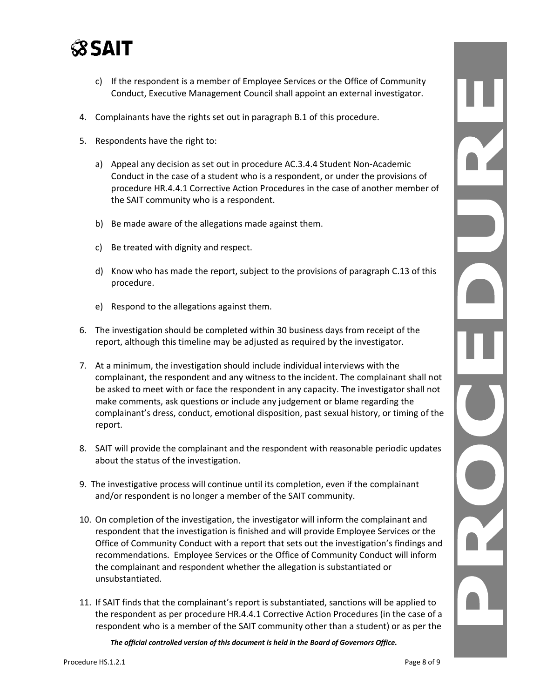

- c) If the respondent is a member of Employee Services or the Office of Community Conduct, Executive Management Council shall appoint an external investigator.
- 4. Complainants have the rights set out in paragraph B.1 of this procedure.
- 5. Respondents have the right to:
	- a) Appeal any decision as set out in procedure AC.3.4.4 Student Non-Academic Conduct in the case of a student who is a respondent, or under the provisions of procedure [HR.4.4.1 Corrective Action Procedures](https://www.sait.ca/assets/documents/about-sait/policies-and-procedures/human-resources/hr-4-4-1-corrective-action-procedures.pdf) in the case of another member of the SAIT community who is a respondent.
	- b) Be made aware of the allegations made against them.
	- c) Be treated with dignity and respect.
	- d) Know who has made the report, subject to the provisions of paragraph C.13 of this procedure.
	- e) Respond to the allegations against them.
- 6. The investigation should be completed within 30 business days from receipt of the report, although this timeline may be adjusted as required by the investigator.
- 7. At a minimum, the investigation should include individual interviews with the complainant, the respondent and any witness to the incident. The complainant shall not be asked to meet with or face the respondent in any capacity. The investigator shall not make comments, ask questions or include any judgement or blame regarding the complainant's dress, conduct, emotional disposition, past sexual history, or timing of the report.
- 8. SAIT will provide the complainant and the respondent with reasonable periodic updates about the status of the investigation.
- 9. The investigative process will continue until its completion, even if the complainant and/or respondent is no longer a member of the SAIT community.
- 10. On completion of the investigation, the investigator will inform the complainant and respondent that the investigation is finished and will provide Employee Services or the Office of Community Conduct with a report that sets out the investigation's findings and recommendations. Employee Services or the Office of Community Conduct will inform the complainant and respondent whether the allegation is substantiated or unsubstantiated.
- 11. If SAIT finds that the complainant's report is substantiated, sanctions will be applied to the respondent as per procedure HR.4.4.1 Corrective Action Procedures (in the case of a respondent who is a member of the SAIT community other than a student) or as per the